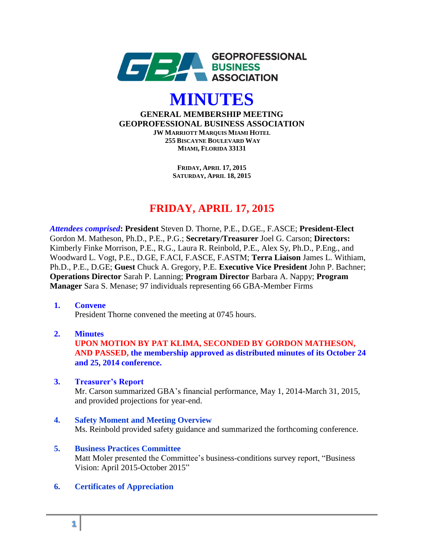



**GENERAL MEMBERSHIP MEETING GEOPROFESSIONAL BUSINESS ASSOCIATION JW MARRIOTT MARQUIS MIAMI HOTEL 255 BISCAYNE BOULEVARD WAY MIAMI, FLORIDA 33131**

> **FRIDAY, APRIL 17, 2015 SATURDAY, APRIL 18, 2015**

# **FRIDAY, APRIL 17, 2015**

*Attendees comprised***: President** Steven D. Thorne, P.E., D.GE., F.ASCE; **President-Elect** Gordon M. Matheson, Ph.D., P.E., P.G.; **Secretary/Treasurer** Joel G. Carson; **Directors:** Kimberly Finke Morrison, P.E., R.G., Laura R. Reinbold, P.E., Alex Sy, Ph.D., P.Eng., and Woodward L. Vogt, P.E., D.GE, F.ACI, F.ASCE, F.ASTM; **Terra Liaison** James L. Withiam, Ph.D., P.E., D.GE; **Guest** Chuck A. Gregory, P.E. **Executive Vice President** John P. Bachner; **Operations Director** Sarah P. Lanning; **Program Director** Barbara A. Nappy; **Program Manager** Sara S. Menase; 97 individuals representing 66 GBA-Member Firms

**1. Convene** 

President Thorne convened the meeting at 0745 hours.

 **2. Minutes**

 **UPON MOTION BY PAT KLIMA, SECONDED BY GORDON MATHESON, AND PASSED, the membership approved as distributed minutes of its October 24 and 25, 2014 conference.**

# **3. Treasurer's Report**

 Mr. Carson summarized GBA's financial performance, May 1, 2014-March 31, 2015, and provided projections for year-end.

- **4. Safety Moment and Meeting Overview** Ms. Reinbold provided safety guidance and summarized the forthcoming conference.
- **5. Business Practices Committee** Matt Moler presented the Committee's business-conditions survey report, "Business Vision: April 2015-October 2015"
- **6. Certificates of Appreciation**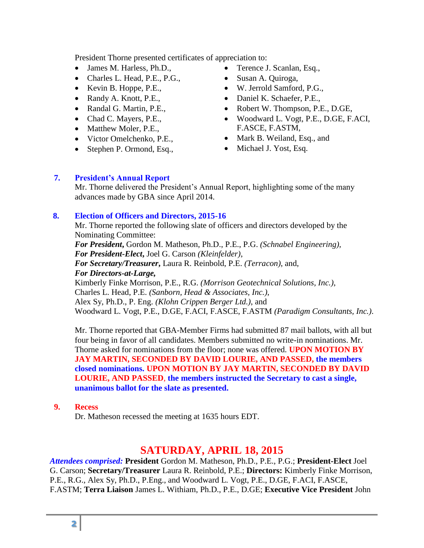President Thorne presented certificates of appreciation to:

- James M. Harless, Ph.D.,
- Charles L. Head, P.E., P.G.,
- $\bullet$  Kevin B. Hoppe, P.E.,
- Randy A. Knott, P.E.,
- Randal G. Martin, P.E.,
- Chad C. Mayers, P.E.,
- Matthew Moler, P.E.,
- Victor Omelchenko, P.E.,
- Stephen P. Ormond, Esq.,
- Terence J. Scanlan, Esq.,
- Susan A. Quiroga,
- W. Jerrold Samford, P.G.,
- Daniel K. Schaefer, P.E.,
- Robert W. Thompson, P.E., D.GE,
- Woodward L. Vogt, P.E., D.GE, F.ACI, F.ASCE, F.ASTM,
- Mark B. Weiland, Esq., and
- Michael J. Yost, Esq.

## **7. President's Annual Report**

Mr. Thorne delivered the President's Annual Report, highlighting some of the many advances made by GBA since April 2014.

## **8. Election of Officers and Directors, 2015-16**

Mr. Thorne reported the following slate of officers and directors developed by the Nominating Committee:

*For President***,** Gordon M. Matheson, Ph.D., P.E., P.G. *(Schnabel Engineering), For President-Elect***,** Joel G. Carson *(Kleinfelder)*, *For Secretary/Treasurer***,** Laura R. Reinbold, P.E. *(Terracon)*, and, *For Directors-at-Large,* 

Kimberly Finke Morrison, P.E., R.G. *(Morrison Geotechnical Solutions, Inc.)*, Charles L. Head, P.E. *(Sanborn, Head & Associates, Inc.)*, Alex Sy, Ph.D., P. Eng. *(Klohn Crippen Berger Ltd.)*, and Woodward L. Vogt, P.E., D.GE, F.ACI, F.ASCE, F.ASTM *(Paradigm Consultants, Inc.)*.

Mr. Thorne reported that GBA-Member Firms had submitted 87 mail ballots, with all but four being in favor of all candidates. Members submitted no write-in nominations. Mr. Thorne asked for nominations from the floor; none was offered. **UPON MOTION BY JAY MARTIN, SECONDED BY DAVID LOURIE, AND PASSED, the members closed nominations. UPON MOTION BY JAY MARTIN, SECONDED BY DAVID LOURIE, AND PASSED**, **the members instructed the Secretary to cast a single, unanimous ballot for the slate as presented.**

### **9. Recess**

Dr. Matheson recessed the meeting at 1635 hours EDT.

# **SATURDAY, APRIL 18, 2015**

*Attendees comprised:* **President** Gordon M. Matheson, Ph.D., P.E., P.G.; **President-Elect** Joel G. Carson; **Secretary/Treasurer** Laura R. Reinbold, P.E.; **Directors:** Kimberly Finke Morrison, P.E., R.G., Alex Sy, Ph.D., P.Eng., and Woodward L. Vogt, P.E., D.GE, F.ACI, F.ASCE, F.ASTM; **Terra Liaison** James L. Withiam, Ph.D., P.E., D.GE; **Executive Vice President** John